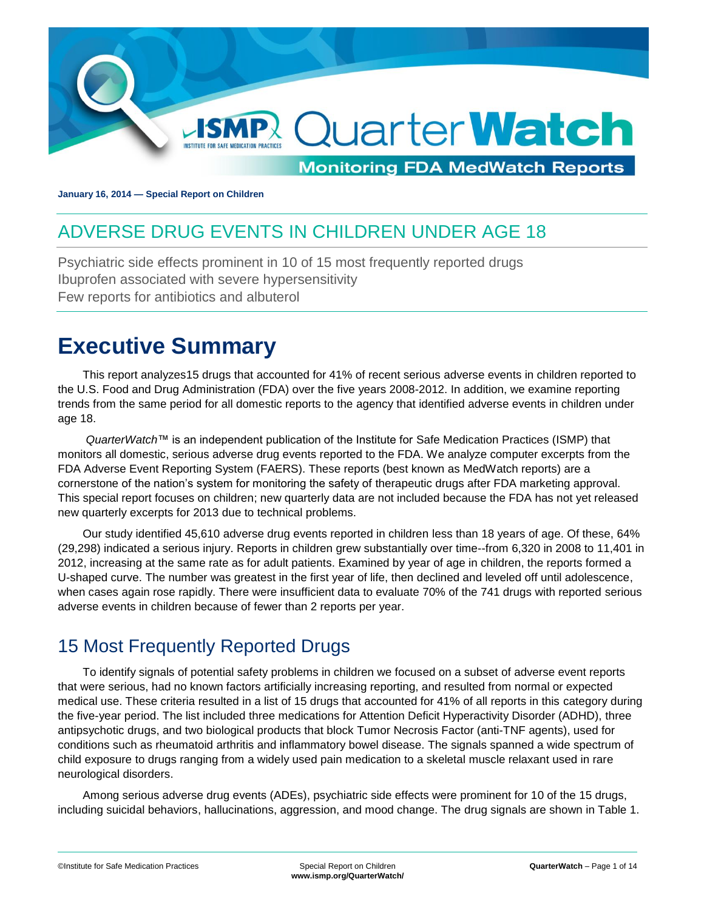

**January 16, 2014 — Special Report on Children**

## <span id="page-0-0"></span>ADVERSE DRUG EVENTS IN CHILDREN UNDER AGE 18

Psychiatric side effects prominent in 10 of 15 most frequently reported drugs Ibuprofen associated with severe hypersensitivity Few reports for antibiotics and albuterol

# <span id="page-0-1"></span>**Executive Summary**

This report analyzes15 drugs that accounted for 41% of recent serious adverse events in children reported to the U.S. Food and Drug Administration (FDA) over the five years 2008-2012. In addition, we examine reporting trends from the same period for all domestic reports to the agency that identified adverse events in children under age 18.

*QuarterWatch*™ is an independent publication of the Institute for Safe Medication Practices (ISMP) that monitors all domestic, serious adverse drug events reported to the FDA. We analyze computer excerpts from the FDA Adverse Event Reporting System (FAERS). These reports (best known as MedWatch reports) are a cornerstone of the nation's system for monitoring the safety of therapeutic drugs after FDA marketing approval. This special report focuses on children; new quarterly data are not included because the FDA has not yet released new quarterly excerpts for 2013 due to technical problems.

Our study identified 45,610 adverse drug events reported in children less than 18 years of age. Of these, 64% (29,298) indicated a serious injury. Reports in children grew substantially over time--from 6,320 in 2008 to 11,401 in 2012, increasing at the same rate as for adult patients. Examined by year of age in children, the reports formed a U-shaped curve. The number was greatest in the first year of life, then declined and leveled off until adolescence, when cases again rose rapidly. There were insufficient data to evaluate 70% of the 741 drugs with reported serious adverse events in children because of fewer than 2 reports per year.

## <span id="page-0-2"></span>15 Most Frequently Reported Drugs

To identify signals of potential safety problems in children we focused on a subset of adverse event reports that were serious, had no known factors artificially increasing reporting, and resulted from normal or expected medical use. These criteria resulted in a list of 15 drugs that accounted for 41% of all reports in this category during the five-year period. The list included three medications for Attention Deficit Hyperactivity Disorder (ADHD), three antipsychotic drugs, and two biological products that block Tumor Necrosis Factor (anti-TNF agents), used for conditions such as rheumatoid arthritis and inflammatory bowel disease. The signals spanned a wide spectrum of child exposure to drugs ranging from a widely used pain medication to a skeletal muscle relaxant used in rare neurological disorders.

Among serious adverse drug events (ADEs), psychiatric side effects were prominent for 10 of the 15 drugs, including suicidal behaviors, hallucinations, aggression, and mood change. The drug signals are shown in Table 1.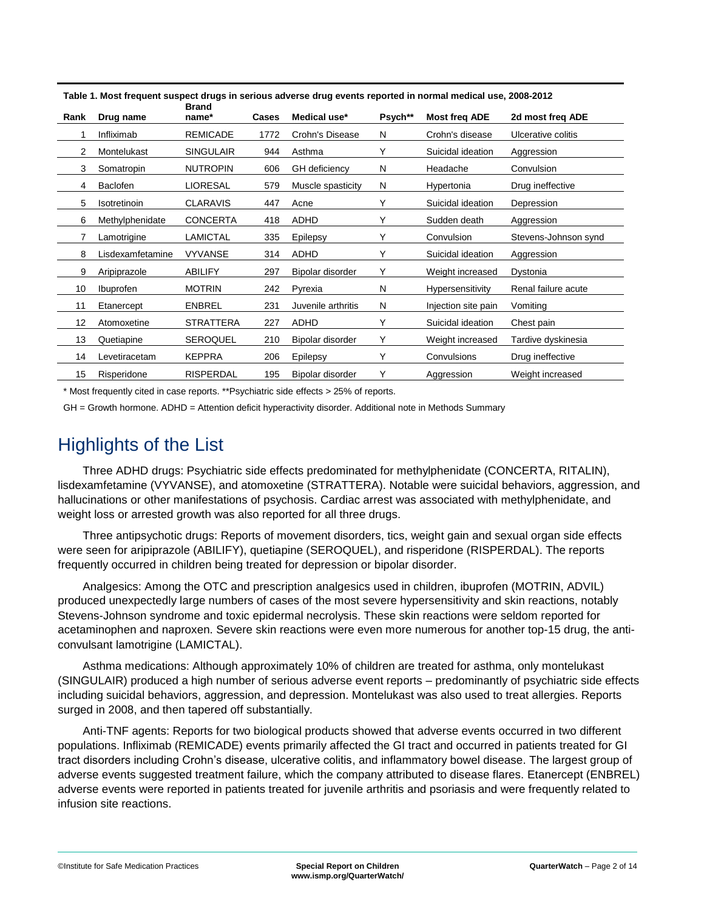| Rank | Drug name        | <b>Brand</b><br>name* | Cases | Medical use*         | Psych** | <b>Most freq ADE</b> | 2d most freq ADE     |
|------|------------------|-----------------------|-------|----------------------|---------|----------------------|----------------------|
|      | Infliximab       | <b>REMICADE</b>       | 1772  | Crohn's Disease      | N       | Crohn's disease      | Ulcerative colitis   |
| 2    | Montelukast      | SINGULAIR             | 944   | Asthma               | Y       | Suicidal ideation    | Aggression           |
| 3    | Somatropin       | <b>NUTROPIN</b>       | 606   | <b>GH</b> deficiency | N       | Headache             | Convulsion           |
| 4    | Baclofen         | LIORESAL              | 579   | Muscle spasticity    | N       | Hypertonia           | Drug ineffective     |
| 5    | Isotretinoin     | <b>CLARAVIS</b>       | 447   | Acne                 | Υ       | Suicidal ideation    | Depression           |
| 6    | Methylphenidate  | <b>CONCERTA</b>       | 418   | ADHD                 | Y       | Sudden death         | Aggression           |
|      | Lamotrigine      | <b>LAMICTAL</b>       | 335   | Epilepsy             | Y       | Convulsion           | Stevens-Johnson synd |
| 8    | Lisdexamfetamine | <b>VYVANSE</b>        | 314   | <b>ADHD</b>          | Y       | Suicidal ideation    | Aggression           |
| 9    | Aripiprazole     | <b>ABILIFY</b>        | 297   | Bipolar disorder     | Y       | Weight increased     | Dystonia             |
| 10   | <b>Ibuprofen</b> | <b>MOTRIN</b>         | 242   | Pyrexia              | N       | Hypersensitivity     | Renal failure acute  |
| 11   | Etanercept       | <b>ENBREL</b>         | 231   | Juvenile arthritis   | N       | Injection site pain  | Vomiting             |
| 12   | Atomoxetine      | <b>STRATTERA</b>      | 227   | <b>ADHD</b>          | Y       | Suicidal ideation    | Chest pain           |
| 13   | Quetiapine       | SEROQUEL              | 210   | Bipolar disorder     | Y       | Weight increased     | Tardive dyskinesia   |
| 14   | Levetiracetam    | KEPPRA                | 206   | Epilepsy             | Y       | Convulsions          | Drug ineffective     |
| 15   | Risperidone      | <b>RISPERDAL</b>      | 195   | Bipolar disorder     | Y       | Aggression           | Weight increased     |

**Table 1. Most frequent suspect drugs in serious adverse drug events reported in normal medical use, 2008-2012**

\* Most frequently cited in case reports. \*\*Psychiatric side effects > 25% of reports.

<span id="page-1-0"></span>GH = Growth hormone. ADHD = Attention deficit hyperactivity disorder. Additional note in Methods Summary

## Highlights of the List

Three ADHD drugs: Psychiatric side effects predominated for methylphenidate (CONCERTA, RITALIN), lisdexamfetamine (VYVANSE), and atomoxetine (STRATTERA). Notable were suicidal behaviors, aggression, and hallucinations or other manifestations of psychosis. Cardiac arrest was associated with methylphenidate, and weight loss or arrested growth was also reported for all three drugs.

Three antipsychotic drugs: Reports of movement disorders, tics, weight gain and sexual organ side effects were seen for aripiprazole (ABILIFY), quetiapine (SEROQUEL), and risperidone (RISPERDAL). The reports frequently occurred in children being treated for depression or bipolar disorder.

Analgesics: Among the OTC and prescription analgesics used in children, ibuprofen (MOTRIN, ADVIL) produced unexpectedly large numbers of cases of the most severe hypersensitivity and skin reactions, notably Stevens-Johnson syndrome and toxic epidermal necrolysis. These skin reactions were seldom reported for acetaminophen and naproxen. Severe skin reactions were even more numerous for another top-15 drug, the anticonvulsant lamotrigine (LAMICTAL).

Asthma medications: Although approximately 10% of children are treated for asthma, only montelukast (SINGULAIR) produced a high number of serious adverse event reports – predominantly of psychiatric side effects including suicidal behaviors, aggression, and depression. Montelukast was also used to treat allergies. Reports surged in 2008, and then tapered off substantially.

Anti-TNF agents: Reports for two biological products showed that adverse events occurred in two different populations. Infliximab (REMICADE) events primarily affected the GI tract and occurred in patients treated for GI tract disorders including Crohn's disease, ulcerative colitis, and inflammatory bowel disease. The largest group of adverse events suggested treatment failure, which the company attributed to disease flares. Etanercept (ENBREL) adverse events were reported in patients treated for juvenile arthritis and psoriasis and were frequently related to infusion site reactions.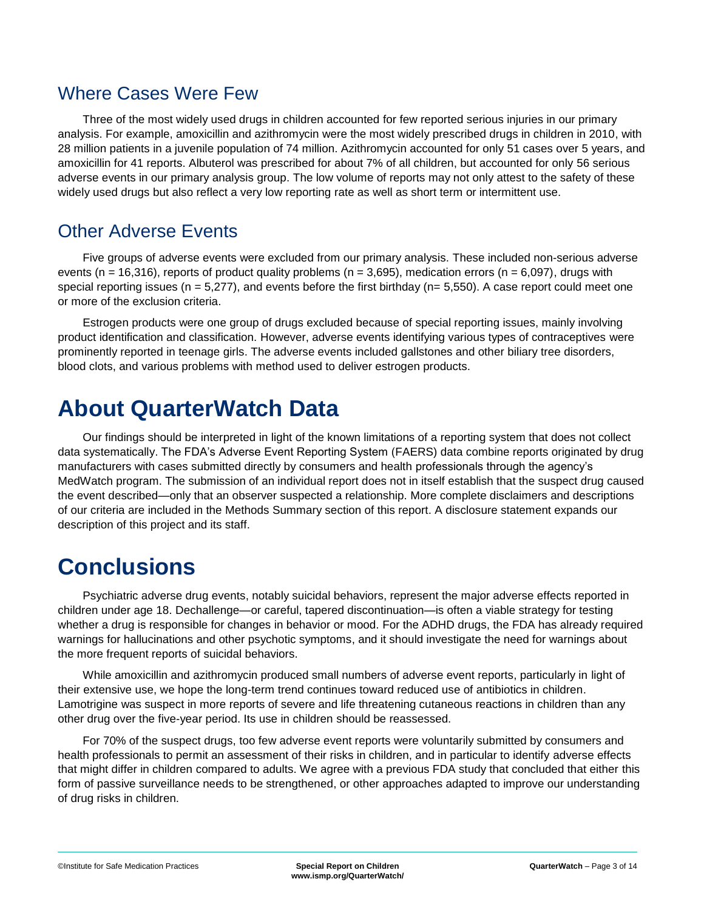### <span id="page-2-0"></span>Where Cases Were Few

Three of the most widely used drugs in children accounted for few reported serious injuries in our primary analysis. For example, amoxicillin and azithromycin were the most widely prescribed drugs in children in 2010, with 28 million patients in a juvenile population of 74 million. Azithromycin accounted for only 51 cases over 5 years, and amoxicillin for 41 reports. Albuterol was prescribed for about 7% of all children, but accounted for only 56 serious adverse events in our primary analysis group. The low volume of reports may not only attest to the safety of these widely used drugs but also reflect a very low reporting rate as well as short term or intermittent use.

### <span id="page-2-1"></span>Other Adverse Events

Five groups of adverse events were excluded from our primary analysis. These included non-serious adverse events (n = 16,316), reports of product quality problems (n = 3,695), medication errors (n = 6,097), drugs with special reporting issues ( $n = 5.277$ ), and events before the first birthday ( $n = 5.550$ ). A case report could meet one or more of the exclusion criteria.

Estrogen products were one group of drugs excluded because of special reporting issues, mainly involving product identification and classification. However, adverse events identifying various types of contraceptives were prominently reported in teenage girls. The adverse events included gallstones and other biliary tree disorders, blood clots, and various problems with method used to deliver estrogen products.

## <span id="page-2-2"></span>**About QuarterWatch Data**

Our findings should be interpreted in light of the known limitations of a reporting system that does not collect data systematically. The FDA's Adverse Event Reporting System (FAERS) data combine reports originated by drug manufacturers with cases submitted directly by consumers and health professionals through the agency's MedWatch program. The submission of an individual report does not in itself establish that the suspect drug caused the event described—only that an observer suspected a relationship. More complete disclaimers and descriptions of our criteria are included in the Methods Summary section of this report. A disclosure statement expands our description of this project and its staff.

# <span id="page-2-3"></span>**Conclusions**

Psychiatric adverse drug events, notably suicidal behaviors, represent the major adverse effects reported in children under age 18. Dechallenge—or careful, tapered discontinuation—is often a viable strategy for testing whether a drug is responsible for changes in behavior or mood. For the ADHD drugs, the FDA has already required warnings for hallucinations and other psychotic symptoms, and it should investigate the need for warnings about the more frequent reports of suicidal behaviors.

While amoxicillin and azithromycin produced small numbers of adverse event reports, particularly in light of their extensive use, we hope the long-term trend continues toward reduced use of antibiotics in children. Lamotrigine was suspect in more reports of severe and life threatening cutaneous reactions in children than any other drug over the five-year period. Its use in children should be reassessed.

For 70% of the suspect drugs, too few adverse event reports were voluntarily submitted by consumers and health professionals to permit an assessment of their risks in children, and in particular to identify adverse effects that might differ in children compared to adults. We agree with a previous FDA study that concluded that either this form of passive surveillance needs to be strengthened, or other approaches adapted to improve our understanding of drug risks in children.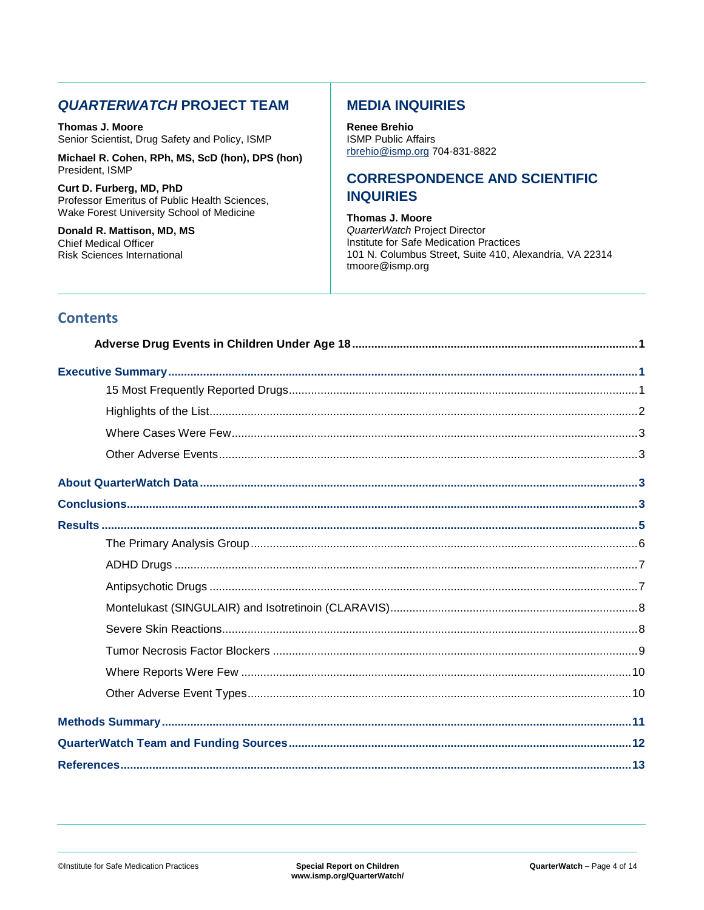#### **QUARTERWATCH PROJECT TEAM**

Thomas J. Moore Senior Scientist, Drug Safety and Policy, ISMP

Michael R. Cohen, RPh, MS, ScD (hon), DPS (hon) President, ISMP

Curt D. Furberg, MD, PhD Professor Emeritus of Public Health Sciences, Wake Forest University School of Medicine

Donald R. Mattison, MD, MS **Chief Medical Officer Risk Sciences International** 

#### **MEDIA INQUIRIES**

**Renee Brehio ISMP Public Affairs** rbrehio@ismp.org 704-831-8822

#### **CORRESPONDENCE AND SCIENTIFIC INQUIRIES**

**Thomas J. Moore** QuarterWatch Project Director Institute for Safe Medication Practices 101 N. Columbus Street, Suite 410, Alexandria, VA 22314 tmoore@ismp.org

#### **Contents**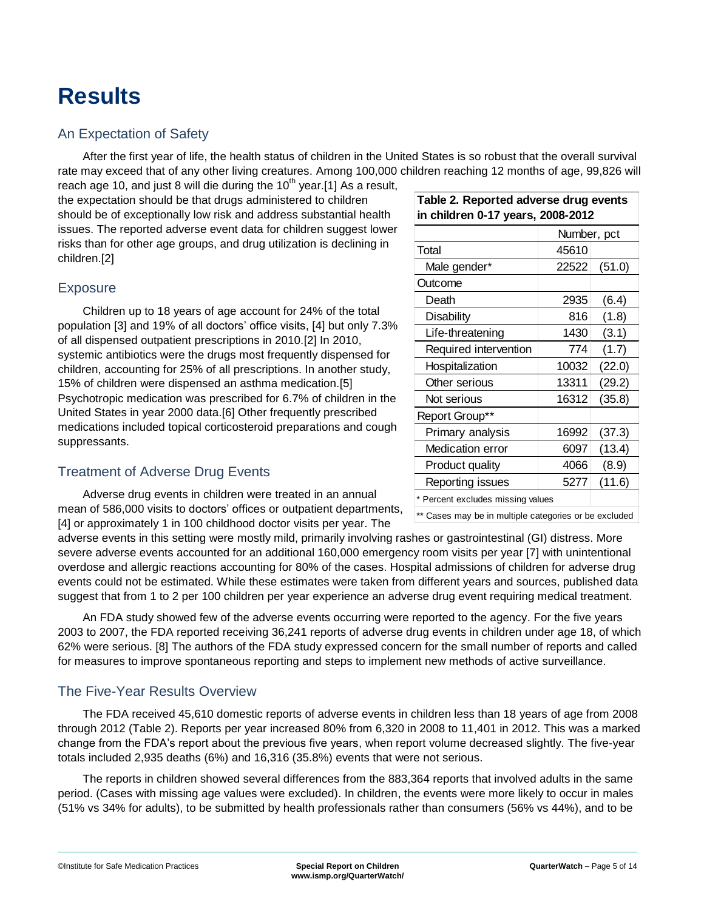# <span id="page-4-0"></span>**Results**

#### An Expectation of Safety

After the first year of life, the health status of children in the United States is so robust that the overall survival rate may exceed that of any other living creatures. Among 100,000 children reaching 12 months of age, 99,826 will

reach age 10, and just 8 will die during the  $10<sup>th</sup>$  year.[1] As a result, the expectation should be that drugs administered to children should be of exceptionally low risk and address substantial health issues. The reported adverse event data for children suggest lower risks than for other age groups, and drug utilization is declining in children.[2]

#### **Exposure**

Children up to 18 years of age account for 24% of the total population [3] and 19% of all doctors' office visits, [4] but only 7.3% of all dispensed outpatient prescriptions in 2010.[2] In 2010, systemic antibiotics were the drugs most frequently dispensed for children, accounting for 25% of all prescriptions. In another study, 15% of children were dispensed an asthma medication.[5] Psychotropic medication was prescribed for 6.7% of children in the United States in year 2000 data.[6] Other frequently prescribed medications included topical corticosteroid preparations and cough suppressants.

#### Treatment of Adverse Drug Events

Adverse drug events in children were treated in an annual mean of 586,000 visits to doctors' offices or outpatient departments, [4] or approximately 1 in 100 childhood doctor visits per year. The

adverse events in this setting were mostly mild, primarily involving rashes or gastrointestinal (GI) distress. More severe adverse events accounted for an additional 160,000 emergency room visits per year [7] with unintentional overdose and allergic reactions accounting for 80% of the cases. Hospital admissions of children for adverse drug events could not be estimated. While these estimates were taken from different years and sources, published data suggest that from 1 to 2 per 100 children per year experience an adverse drug event requiring medical treatment.

An FDA study showed few of the adverse events occurring were reported to the agency. For the five years 2003 to 2007, the FDA reported receiving 36,241 reports of adverse drug events in children under age 18, of which 62% were serious. [8] The authors of the FDA study expressed concern for the small number of reports and called for measures to improve spontaneous reporting and steps to implement new methods of active surveillance.

#### The Five-Year Results Overview

The FDA received 45,610 domestic reports of adverse events in children less than 18 years of age from 2008 through 2012 (Table 2). Reports per year increased 80% from 6,320 in 2008 to 11,401 in 2012. This was a marked change from the FDA's report about the previous five years, when report volume decreased slightly. The five-year totals included 2,935 deaths (6%) and 16,316 (35.8%) events that were not serious.

The reports in children showed several differences from the 883,364 reports that involved adults in the same period. (Cases with missing age values were excluded). In children, the events were more likely to occur in males (51% vs 34% for adults), to be submitted by health professionals rather than consumers (56% vs 44%), and to be

| Table 2. Reported adverse drug events<br>in children 0-17 years, 2008-2012 |             |        |  |  |
|----------------------------------------------------------------------------|-------------|--------|--|--|
|                                                                            | Number, pct |        |  |  |
| Total                                                                      | 45610       |        |  |  |
| Male gender*                                                               | 22522       | (51.0) |  |  |
| Outcome                                                                    |             |        |  |  |
| Death                                                                      | 2935        | (6.4)  |  |  |
| Disability                                                                 | 816         | (1.8)  |  |  |
| Life-threatening                                                           | 1430        | (3.1)  |  |  |
| Required intervention                                                      | 774         | (1.7)  |  |  |
| Hospitalization                                                            | 10032       | (22.0) |  |  |
| Other serious                                                              | 13311       | (29.2) |  |  |
| Not serious                                                                | 16312       | (35.8) |  |  |
| Report Group**                                                             |             |        |  |  |
| Primary analysis                                                           | 16992       | (37.3) |  |  |
| Medication error                                                           | 6097        | (13.4) |  |  |
| <b>Product quality</b>                                                     | 4066        | (8.9)  |  |  |
| Reporting issues                                                           | 5277        | (11.6) |  |  |
| * Percent excludes missing values                                          |             |        |  |  |
|                                                                            |             |        |  |  |

\*\* Cases may be in multiple categories or be excluded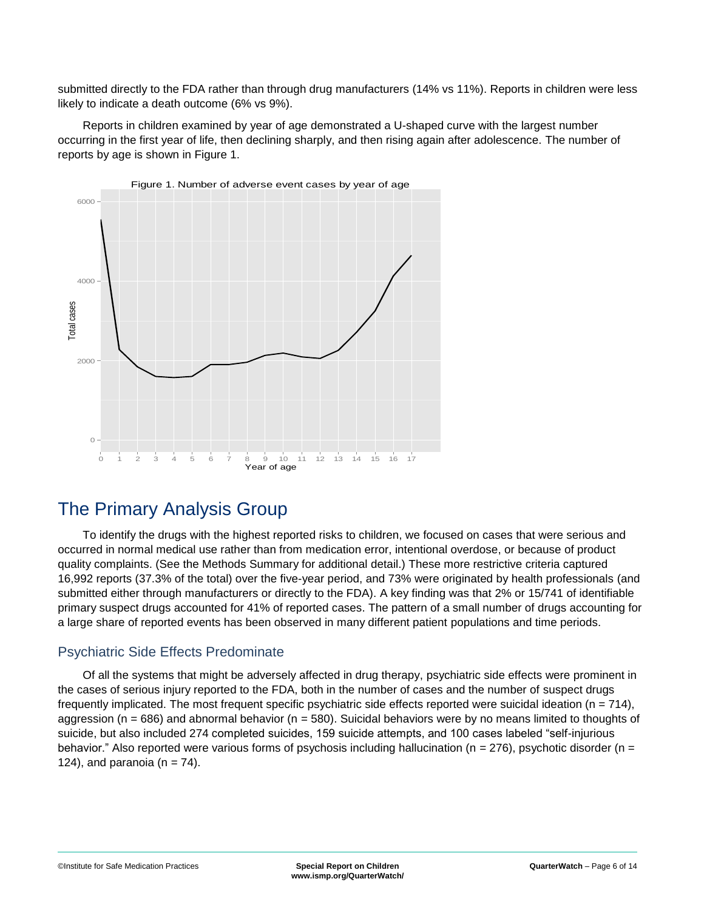submitted directly to the FDA rather than through drug manufacturers (14% vs 11%). Reports in children were less likely to indicate a death outcome (6% vs 9%).

Reports in children examined by year of age demonstrated a U-shaped curve with the largest number occurring in the first year of life, then declining sharply, and then rising again after adolescence. The number of reports by age is shown in Figure 1.



## <span id="page-5-0"></span>The Primary Analysis Group

To identify the drugs with the highest reported risks to children, we focused on cases that were serious and occurred in normal medical use rather than from medication error, intentional overdose, or because of product quality complaints. (See the Methods Summary for additional detail.) These more restrictive criteria captured 16,992 reports (37.3% of the total) over the five-year period, and 73% were originated by health professionals (and submitted either through manufacturers or directly to the FDA). A key finding was that 2% or 15/741 of identifiable primary suspect drugs accounted for 41% of reported cases. The pattern of a small number of drugs accounting for a large share of reported events has been observed in many different patient populations and time periods.

#### Psychiatric Side Effects Predominate

Of all the systems that might be adversely affected in drug therapy, psychiatric side effects were prominent in the cases of serious injury reported to the FDA, both in the number of cases and the number of suspect drugs frequently implicated. The most frequent specific psychiatric side effects reported were suicidal ideation ( $n = 714$ ), aggression ( $n = 686$ ) and abnormal behavior ( $n = 580$ ). Suicidal behaviors were by no means limited to thoughts of suicide, but also included 274 completed suicides, 159 suicide attempts, and 100 cases labeled "self-injurious behavior." Also reported were various forms of psychosis including hallucination ( $n = 276$ ), psychotic disorder ( $n =$ 124), and paranoia ( $n = 74$ ).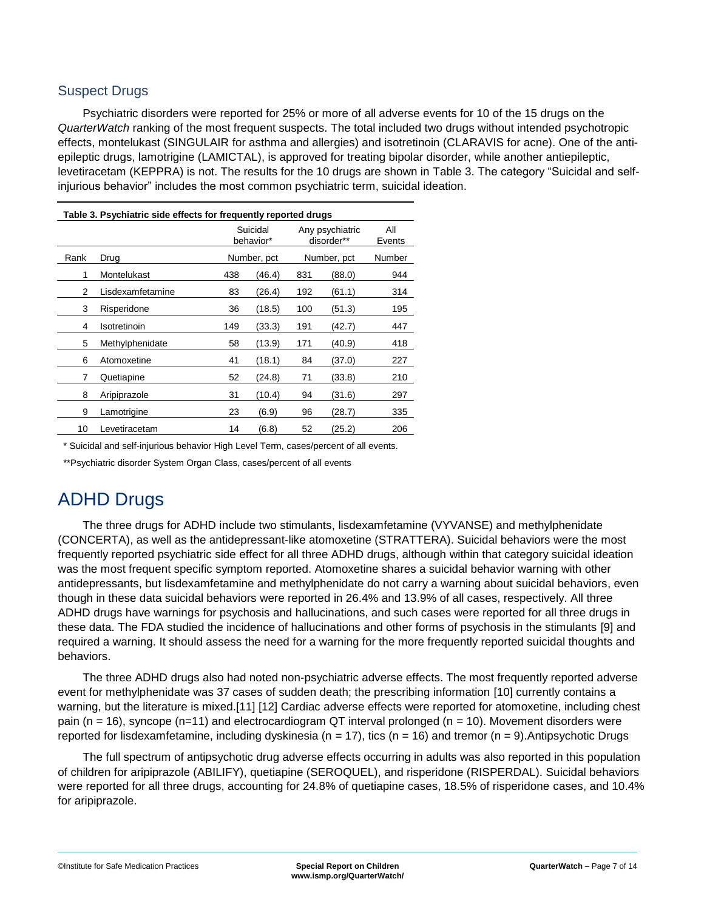#### Suspect Drugs

Psychiatric disorders were reported for 25% or more of all adverse events for 10 of the 15 drugs on the *QuarterWatch* ranking of the most frequent suspects. The total included two drugs without intended psychotropic effects, montelukast (SINGULAIR for asthma and allergies) and isotretinoin (CLARAVIS for acne). One of the antiepileptic drugs, lamotrigine (LAMICTAL), is approved for treating bipolar disorder, while another antiepileptic, levetiracetam (KEPPRA) is not. The results for the 10 drugs are shown in Table 3. The category "Suicidal and selfinjurious behavior" includes the most common psychiatric term, suicidal ideation.

<span id="page-6-0"></span>

| Table 3. Psychiatric side effects for frequently reported drugs |                  |     |                       |     |                               |               |
|-----------------------------------------------------------------|------------------|-----|-----------------------|-----|-------------------------------|---------------|
|                                                                 |                  |     | Suicidal<br>behavior* |     | Any psychiatric<br>disorder** | All<br>Events |
| Rank                                                            | Drug             |     | Number, pct           |     | Number, pct                   | Number        |
| 1                                                               | Montelukast      | 438 | (46.4)                | 831 | (88.0)                        | 944           |
| 2                                                               | Lisdexamfetamine | 83  | (26.4)                | 192 | (61.1)                        | 314           |
| 3                                                               | Risperidone      | 36  | (18.5)                | 100 | (51.3)                        | 195           |
| 4                                                               | Isotretinoin     | 149 | (33.3)                | 191 | (42.7)                        | 447           |
| 5                                                               | Methylphenidate  | 58  | (13.9)                | 171 | (40.9)                        | 418           |
| 6                                                               | Atomoxetine      | 41  | (18.1)                | 84  | (37.0)                        | 227           |
| 7                                                               | Quetiapine       | 52  | (24.8)                | 71  | (33.8)                        | 210           |
| 8                                                               | Aripiprazole     | 31  | (10.4)                | 94  | (31.6)                        | 297           |
| 9                                                               | Lamotrigine      | 23  | (6.9)                 | 96  | (28.7)                        | 335           |
| 10                                                              | Levetiracetam    | 14  | (6.8)                 | 52  | (25.2)                        | 206           |

\* Suicidal and self-injurious behavior High Level Term, cases/percent of all events.

\*\*Psychiatric disorder System Organ Class, cases/percent of all events

## ADHD Drugs

The three drugs for ADHD include two stimulants, lisdexamfetamine (VYVANSE) and methylphenidate (CONCERTA), as well as the antidepressant-like atomoxetine (STRATTERA). Suicidal behaviors were the most frequently reported psychiatric side effect for all three ADHD drugs, although within that category suicidal ideation was the most frequent specific symptom reported. Atomoxetine shares a suicidal behavior warning with other antidepressants, but lisdexamfetamine and methylphenidate do not carry a warning about suicidal behaviors, even though in these data suicidal behaviors were reported in 26.4% and 13.9% of all cases, respectively. All three ADHD drugs have warnings for psychosis and hallucinations, and such cases were reported for all three drugs in these data. The FDA studied the incidence of hallucinations and other forms of psychosis in the stimulants [9] and required a warning. It should assess the need for a warning for the more frequently reported suicidal thoughts and behaviors.

The three ADHD drugs also had noted non-psychiatric adverse effects. The most frequently reported adverse event for methylphenidate was 37 cases of sudden death; the prescribing information [10] currently contains a warning, but the literature is mixed.[11] [12] Cardiac adverse effects were reported for atomoxetine, including chest pain (n = 16), syncope (n=11) and electrocardiogram QT interval prolonged (n = 10). Movement disorders were reported for lisdexamfetamine, including dyskinesia ( $n = 17$ ), tics ( $n = 16$ ) and tremor ( $n = 9$ ). Antipsychotic Drugs

<span id="page-6-1"></span>The full spectrum of antipsychotic drug adverse effects occurring in adults was also reported in this population of children for aripiprazole (ABILIFY), quetiapine (SEROQUEL), and risperidone (RISPERDAL). Suicidal behaviors were reported for all three drugs, accounting for 24.8% of quetiapine cases, 18.5% of risperidone cases, and 10.4% for aripiprazole.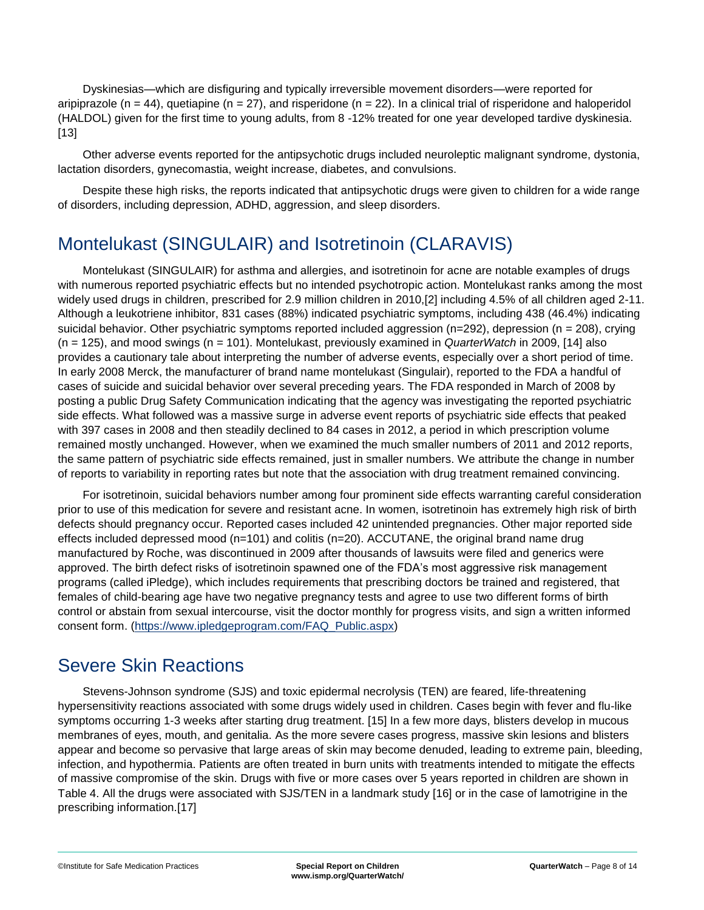Dyskinesias—which are disfiguring and typically irreversible movement disorders—were reported for aripiprazole (n = 44), quetiapine (n = 27), and risperidone (n = 22). In a clinical trial of risperidone and haloperidol (HALDOL) given for the first time to young adults, from 8 -12% treated for one year developed tardive dyskinesia. [13]

Other adverse events reported for the antipsychotic drugs included neuroleptic malignant syndrome, dystonia, lactation disorders, gynecomastia, weight increase, diabetes, and convulsions.

Despite these high risks, the reports indicated that antipsychotic drugs were given to children for a wide range of disorders, including depression, ADHD, aggression, and sleep disorders.

## <span id="page-7-0"></span>Montelukast (SINGULAIR) and Isotretinoin (CLARAVIS)

Montelukast (SINGULAIR) for asthma and allergies, and isotretinoin for acne are notable examples of drugs with numerous reported psychiatric effects but no intended psychotropic action. Montelukast ranks among the most widely used drugs in children, prescribed for 2.9 million children in 2010,[2] including 4.5% of all children aged 2-11. Although a leukotriene inhibitor, 831 cases (88%) indicated psychiatric symptoms, including 438 (46.4%) indicating suicidal behavior. Other psychiatric symptoms reported included aggression (n=292), depression (n = 208), crying (n = 125), and mood swings (n = 101). Montelukast, previously examined in *QuarterWatch* in 2009, [14] also provides a cautionary tale about interpreting the number of adverse events, especially over a short period of time. In early 2008 Merck, the manufacturer of brand name montelukast (Singulair), reported to the FDA a handful of cases of suicide and suicidal behavior over several preceding years. The FDA responded in March of 2008 by posting a public Drug Safety Communication indicating that the agency was investigating the reported psychiatric side effects. What followed was a massive surge in adverse event reports of psychiatric side effects that peaked with 397 cases in 2008 and then steadily declined to 84 cases in 2012, a period in which prescription volume remained mostly unchanged. However, when we examined the much smaller numbers of 2011 and 2012 reports, the same pattern of psychiatric side effects remained, just in smaller numbers. We attribute the change in number of reports to variability in reporting rates but note that the association with drug treatment remained convincing.

For isotretinoin, suicidal behaviors number among four prominent side effects warranting careful consideration prior to use of this medication for severe and resistant acne. In women, isotretinoin has extremely high risk of birth defects should pregnancy occur. Reported cases included 42 unintended pregnancies. Other major reported side effects included depressed mood (n=101) and colitis (n=20). ACCUTANE, the original brand name drug manufactured by Roche, was discontinued in 2009 after thousands of lawsuits were filed and generics were approved. The birth defect risks of isotretinoin spawned one of the FDA's most aggressive risk management programs (called iPledge), which includes requirements that prescribing doctors be trained and registered, that females of child-bearing age have two negative pregnancy tests and agree to use two different forms of birth control or abstain from sexual intercourse, visit the doctor monthly for progress visits, and sign a written informed consent form. [\(https://www.ipledgeprogram.com/FAQ\\_Public.aspx\)](https://www.ipledgeprogram.com/FAQ_Public.aspx)

### <span id="page-7-1"></span>Severe Skin Reactions

Stevens-Johnson syndrome (SJS) and toxic epidermal necrolysis (TEN) are feared, life-threatening hypersensitivity reactions associated with some drugs widely used in children. Cases begin with fever and flu-like symptoms occurring 1-3 weeks after starting drug treatment. [15] In a few more days, blisters develop in mucous membranes of eyes, mouth, and genitalia. As the more severe cases progress, massive skin lesions and blisters appear and become so pervasive that large areas of skin may become denuded, leading to extreme pain, bleeding, infection, and hypothermia. Patients are often treated in burn units with treatments intended to mitigate the effects of massive compromise of the skin. Drugs with five or more cases over 5 years reported in children are shown in Table 4. All the drugs were associated with SJS/TEN in a landmark study [16] or in the case of lamotrigine in the prescribing information.[17]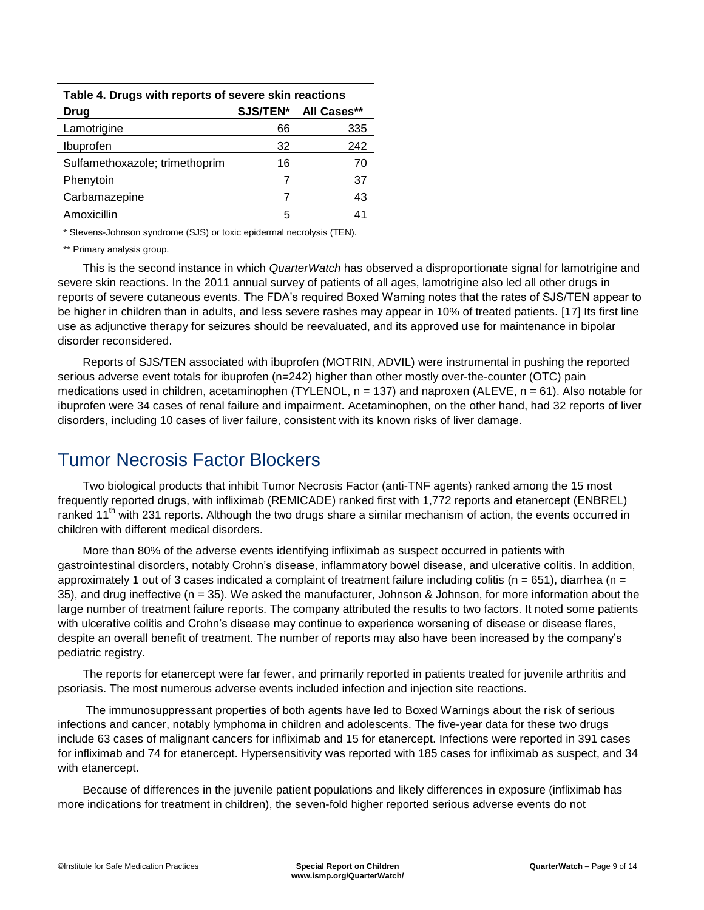| Table 4. Drugs with reports of severe skin reactions |    |                      |  |  |
|------------------------------------------------------|----|----------------------|--|--|
| Drug                                                 |    | SJS/TEN* All Cases** |  |  |
| Lamotrigine                                          | 66 | 335                  |  |  |
| Ibuprofen                                            | 32 | 242                  |  |  |
| Sulfamethoxazole; trimethoprim                       | 16 | 70                   |  |  |
| Phenytoin                                            | 7  | 37                   |  |  |
| Carbamazepine                                        | 7  | 43                   |  |  |
| Amoxicillin                                          | 5  |                      |  |  |

\* Stevens-Johnson syndrome (SJS) or toxic epidermal necrolysis (TEN).

\*\* Primary analysis group.

This is the second instance in which *QuarterWatch* has observed a disproportionate signal for lamotrigine and severe skin reactions. In the 2011 annual survey of patients of all ages, lamotrigine also led all other drugs in reports of severe cutaneous events. The FDA's required Boxed Warning notes that the rates of SJS/TEN appear to be higher in children than in adults, and less severe rashes may appear in 10% of treated patients. [17] Its first line use as adjunctive therapy for seizures should be reevaluated, and its approved use for maintenance in bipolar disorder reconsidered.

Reports of SJS/TEN associated with ibuprofen (MOTRIN, ADVIL) were instrumental in pushing the reported serious adverse event totals for ibuprofen (n=242) higher than other mostly over-the-counter (OTC) pain medications used in children, acetaminophen (TYLENOL,  $n = 137$ ) and naproxen (ALEVE,  $n = 61$ ). Also notable for ibuprofen were 34 cases of renal failure and impairment. Acetaminophen, on the other hand, had 32 reports of liver disorders, including 10 cases of liver failure, consistent with its known risks of liver damage.

### <span id="page-8-0"></span>Tumor Necrosis Factor Blockers

Two biological products that inhibit Tumor Necrosis Factor (anti-TNF agents) ranked among the 15 most frequently reported drugs, with infliximab (REMICADE) ranked first with 1,772 reports and etanercept (ENBREL) ranked 11<sup>th</sup> with 231 reports. Although the two drugs share a similar mechanism of action, the events occurred in children with different medical disorders.

More than 80% of the adverse events identifying infliximab as suspect occurred in patients with gastrointestinal disorders, notably Crohn's disease, inflammatory bowel disease, and ulcerative colitis. In addition, approximately 1 out of 3 cases indicated a complaint of treatment failure including colitis ( $n = 651$ ), diarrhea ( $n =$ 35), and drug ineffective (n = 35). We asked the manufacturer, Johnson & Johnson, for more information about the large number of treatment failure reports. The company attributed the results to two factors. It noted some patients with ulcerative colitis and Crohn's disease may continue to experience worsening of disease or disease flares, despite an overall benefit of treatment. The number of reports may also have been increased by the company's pediatric registry.

The reports for etanercept were far fewer, and primarily reported in patients treated for juvenile arthritis and psoriasis. The most numerous adverse events included infection and injection site reactions.

The immunosuppressant properties of both agents have led to Boxed Warnings about the risk of serious infections and cancer, notably lymphoma in children and adolescents. The five-year data for these two drugs include 63 cases of malignant cancers for infliximab and 15 for etanercept. Infections were reported in 391 cases for infliximab and 74 for etanercept. Hypersensitivity was reported with 185 cases for infliximab as suspect, and 34 with etanercept.

Because of differences in the juvenile patient populations and likely differences in exposure (infliximab has more indications for treatment in children), the seven-fold higher reported serious adverse events do not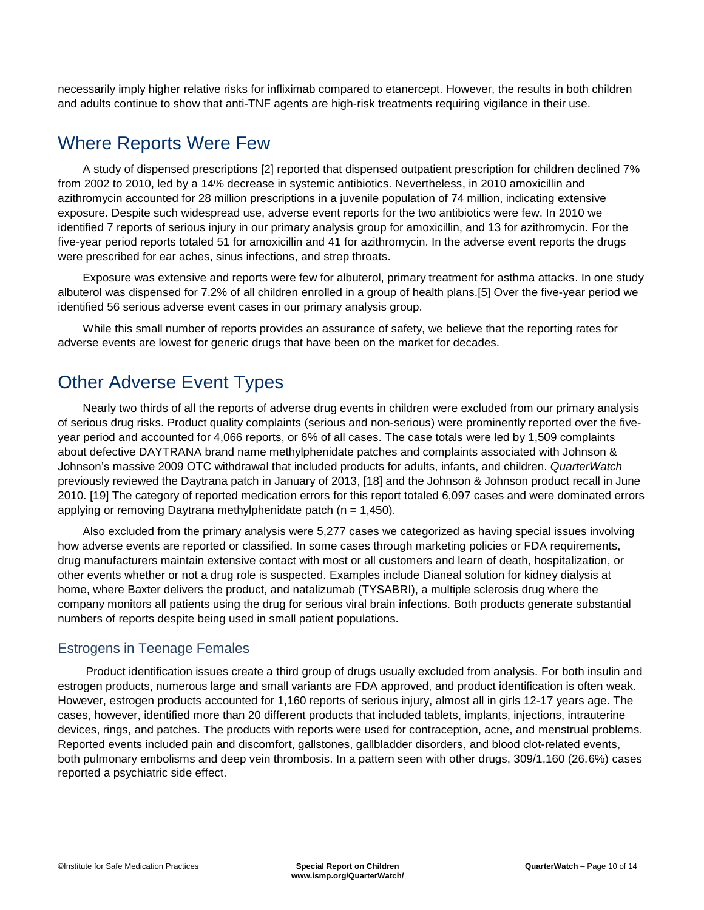necessarily imply higher relative risks for infliximab compared to etanercept. However, the results in both children and adults continue to show that anti-TNF agents are high-risk treatments requiring vigilance in their use.

### <span id="page-9-0"></span>Where Reports Were Few

A study of dispensed prescriptions [2] reported that dispensed outpatient prescription for children declined 7% from 2002 to 2010, led by a 14% decrease in systemic antibiotics. Nevertheless, in 2010 amoxicillin and azithromycin accounted for 28 million prescriptions in a juvenile population of 74 million, indicating extensive exposure. Despite such widespread use, adverse event reports for the two antibiotics were few. In 2010 we identified 7 reports of serious injury in our primary analysis group for amoxicillin, and 13 for azithromycin. For the five-year period reports totaled 51 for amoxicillin and 41 for azithromycin. In the adverse event reports the drugs were prescribed for ear aches, sinus infections, and strep throats.

Exposure was extensive and reports were few for albuterol, primary treatment for asthma attacks. In one study albuterol was dispensed for 7.2% of all children enrolled in a group of health plans.[5] Over the five-year period we identified 56 serious adverse event cases in our primary analysis group.

While this small number of reports provides an assurance of safety, we believe that the reporting rates for adverse events are lowest for generic drugs that have been on the market for decades.

## <span id="page-9-1"></span>Other Adverse Event Types

Nearly two thirds of all the reports of adverse drug events in children were excluded from our primary analysis of serious drug risks. Product quality complaints (serious and non-serious) were prominently reported over the fiveyear period and accounted for 4,066 reports, or 6% of all cases. The case totals were led by 1,509 complaints about defective DAYTRANA brand name methylphenidate patches and complaints associated with Johnson & Johnson's massive 2009 OTC withdrawal that included products for adults, infants, and children. *QuarterWatch* previously reviewed the Daytrana patch in January of 2013, [18] and the Johnson & Johnson product recall in June 2010. [19] The category of reported medication errors for this report totaled 6,097 cases and were dominated errors applying or removing Daytrana methylphenidate patch ( $n = 1,450$ ).

Also excluded from the primary analysis were 5,277 cases we categorized as having special issues involving how adverse events are reported or classified. In some cases through marketing policies or FDA requirements, drug manufacturers maintain extensive contact with most or all customers and learn of death, hospitalization, or other events whether or not a drug role is suspected. Examples include Dianeal solution for kidney dialysis at home, where Baxter delivers the product, and natalizumab (TYSABRI), a multiple sclerosis drug where the company monitors all patients using the drug for serious viral brain infections. Both products generate substantial numbers of reports despite being used in small patient populations.

#### Estrogens in Teenage Females

Product identification issues create a third group of drugs usually excluded from analysis. For both insulin and estrogen products, numerous large and small variants are FDA approved, and product identification is often weak. However, estrogen products accounted for 1,160 reports of serious injury, almost all in girls 12-17 years age. The cases, however, identified more than 20 different products that included tablets, implants, injections, intrauterine devices, rings, and patches. The products with reports were used for contraception, acne, and menstrual problems. Reported events included pain and discomfort, gallstones, gallbladder disorders, and blood clot-related events, both pulmonary embolisms and deep vein thrombosis. In a pattern seen with other drugs, 309/1,160 (26.6%) cases reported a psychiatric side effect.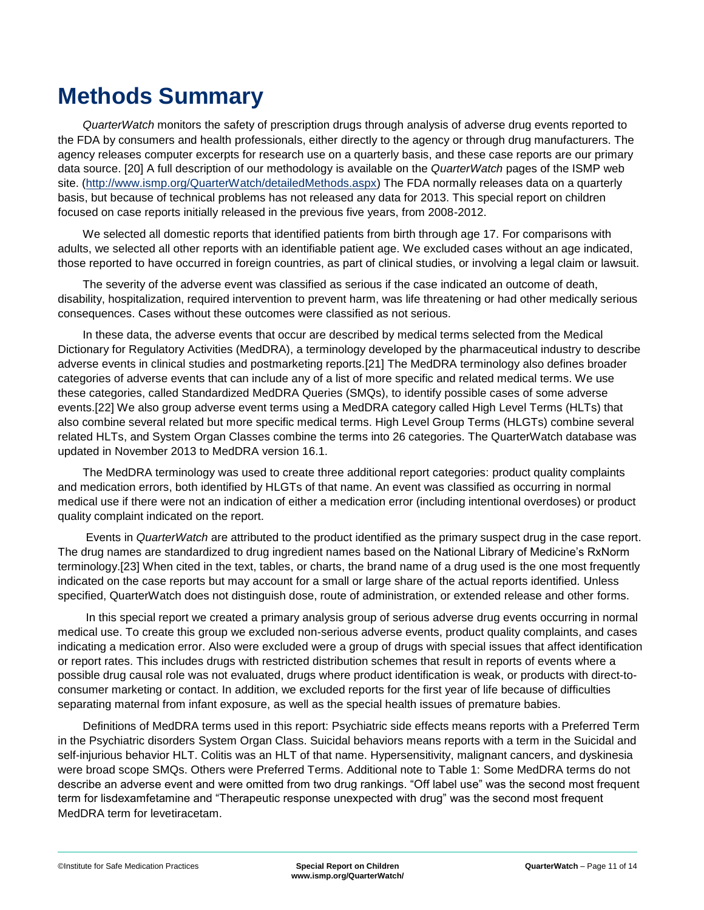# <span id="page-10-0"></span>**Methods Summary**

*QuarterWatch* monitors the safety of prescription drugs through analysis of adverse drug events reported to the FDA by consumers and health professionals, either directly to the agency or through drug manufacturers. The agency releases computer excerpts for research use on a quarterly basis, and these case reports are our primary data source. [20] A full description of our methodology is available on the *QuarterWatch* pages of the ISMP web site. [\(http://www.ismp.org/QuarterWatch/detailedMethods.aspx\)](http://www.ismp.org/QuarterWatch/detailedMethods.aspx) The FDA normally releases data on a quarterly basis, but because of technical problems has not released any data for 2013. This special report on children focused on case reports initially released in the previous five years, from 2008-2012.

We selected all domestic reports that identified patients from birth through age 17. For comparisons with adults, we selected all other reports with an identifiable patient age. We excluded cases without an age indicated, those reported to have occurred in foreign countries, as part of clinical studies, or involving a legal claim or lawsuit.

The severity of the adverse event was classified as serious if the case indicated an outcome of death, disability, hospitalization, required intervention to prevent harm, was life threatening or had other medically serious consequences. Cases without these outcomes were classified as not serious.

In these data, the adverse events that occur are described by medical terms selected from the Medical Dictionary for Regulatory Activities (MedDRA), a terminology developed by the pharmaceutical industry to describe adverse events in clinical studies and postmarketing reports.[21] The MedDRA terminology also defines broader categories of adverse events that can include any of a list of more specific and related medical terms. We use these categories, called Standardized MedDRA Queries (SMQs), to identify possible cases of some adverse events.[22] We also group adverse event terms using a MedDRA category called High Level Terms (HLTs) that also combine several related but more specific medical terms. High Level Group Terms (HLGTs) combine several related HLTs, and System Organ Classes combine the terms into 26 categories. The QuarterWatch database was updated in November 2013 to MedDRA version 16.1.

The MedDRA terminology was used to create three additional report categories: product quality complaints and medication errors, both identified by HLGTs of that name. An event was classified as occurring in normal medical use if there were not an indication of either a medication error (including intentional overdoses) or product quality complaint indicated on the report.

Events in *QuarterWatch* are attributed to the product identified as the primary suspect drug in the case report. The drug names are standardized to drug ingredient names based on the National Library of Medicine's RxNorm terminology.[23] When cited in the text, tables, or charts, the brand name of a drug used is the one most frequently indicated on the case reports but may account for a small or large share of the actual reports identified. Unless specified, QuarterWatch does not distinguish dose, route of administration, or extended release and other forms.

In this special report we created a primary analysis group of serious adverse drug events occurring in normal medical use. To create this group we excluded non-serious adverse events, product quality complaints, and cases indicating a medication error. Also were excluded were a group of drugs with special issues that affect identification or report rates. This includes drugs with restricted distribution schemes that result in reports of events where a possible drug causal role was not evaluated, drugs where product identification is weak, or products with direct-toconsumer marketing or contact. In addition, we excluded reports for the first year of life because of difficulties separating maternal from infant exposure, as well as the special health issues of premature babies.

Definitions of MedDRA terms used in this report: Psychiatric side effects means reports with a Preferred Term in the Psychiatric disorders System Organ Class. Suicidal behaviors means reports with a term in the Suicidal and self-injurious behavior HLT. Colitis was an HLT of that name. Hypersensitivity, malignant cancers, and dyskinesia were broad scope SMQs. Others were Preferred Terms. Additional note to Table 1: Some MedDRA terms do not describe an adverse event and were omitted from two drug rankings. "Off label use" was the second most frequent term for lisdexamfetamine and "Therapeutic response unexpected with drug" was the second most frequent MedDRA term for levetiracetam.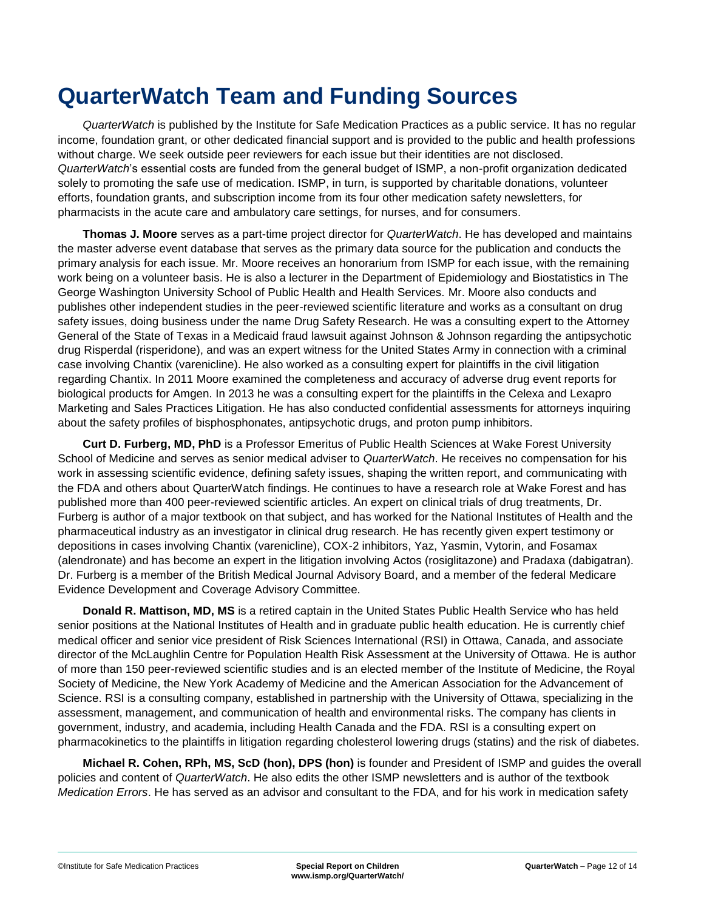# <span id="page-11-0"></span>**QuarterWatch Team and Funding Sources**

*QuarterWatch* is published by the Institute for Safe Medication Practices as a public service. It has no regular income, foundation grant, or other dedicated financial support and is provided to the public and health professions without charge. We seek outside peer reviewers for each issue but their identities are not disclosed. *QuarterWatch*'s essential costs are funded from the general budget of ISMP, a non-profit organization dedicated solely to promoting the safe use of medication. ISMP, in turn, is supported by charitable donations, volunteer efforts, foundation grants, and subscription income from its four other medication safety newsletters, for pharmacists in the acute care and ambulatory care settings, for nurses, and for consumers.

**Thomas J. Moore** serves as a part-time project director for *QuarterWatch*. He has developed and maintains the master adverse event database that serves as the primary data source for the publication and conducts the primary analysis for each issue. Mr. Moore receives an honorarium from ISMP for each issue, with the remaining work being on a volunteer basis. He is also a lecturer in the Department of Epidemiology and Biostatistics in The George Washington University School of Public Health and Health Services. Mr. Moore also conducts and publishes other independent studies in the peer-reviewed scientific literature and works as a consultant on drug safety issues, doing business under the name Drug Safety Research. He was a consulting expert to the Attorney General of the State of Texas in a Medicaid fraud lawsuit against Johnson & Johnson regarding the antipsychotic drug Risperdal (risperidone), and was an expert witness for the United States Army in connection with a criminal case involving Chantix (varenicline). He also worked as a consulting expert for plaintiffs in the civil litigation regarding Chantix. In 2011 Moore examined the completeness and accuracy of adverse drug event reports for biological products for Amgen. In 2013 he was a consulting expert for the plaintiffs in the Celexa and Lexapro Marketing and Sales Practices Litigation. He has also conducted confidential assessments for attorneys inquiring about the safety profiles of bisphosphonates, antipsychotic drugs, and proton pump inhibitors.

**Curt D. Furberg, MD, PhD** is a Professor Emeritus of Public Health Sciences at Wake Forest University School of Medicine and serves as senior medical adviser to *QuarterWatch*. He receives no compensation for his work in assessing scientific evidence, defining safety issues, shaping the written report, and communicating with the FDA and others about QuarterWatch findings. He continues to have a research role at Wake Forest and has published more than 400 peer-reviewed scientific articles. An expert on clinical trials of drug treatments, Dr. Furberg is author of a major textbook on that subject, and has worked for the National Institutes of Health and the pharmaceutical industry as an investigator in clinical drug research. He has recently given expert testimony or depositions in cases involving Chantix (varenicline), COX-2 inhibitors, Yaz, Yasmin, Vytorin, and Fosamax (alendronate) and has become an expert in the litigation involving Actos (rosiglitazone) and Pradaxa (dabigatran). Dr. Furberg is a member of the British Medical Journal Advisory Board, and a member of the federal Medicare Evidence Development and Coverage Advisory Committee.

**Donald R. Mattison, MD, MS** is a retired captain in the United States Public Health Service who has held senior positions at the National Institutes of Health and in graduate public health education. He is currently chief medical officer and senior vice president of Risk Sciences International (RSI) in Ottawa, Canada, and associate director of the McLaughlin Centre for Population Health Risk Assessment at the University of Ottawa. He is author of more than 150 peer-reviewed scientific studies and is an elected member of the Institute of Medicine, the Royal Society of Medicine, the New York Academy of Medicine and the American Association for the Advancement of Science. RSI is a consulting company, established in partnership with the University of Ottawa, specializing in the assessment, management, and communication of health and environmental risks. The company has clients in government, industry, and academia, including Health Canada and the FDA. RSI is a consulting expert on pharmacokinetics to the plaintiffs in litigation regarding cholesterol lowering drugs (statins) and the risk of diabetes.

**Michael R. Cohen, RPh, MS, ScD (hon), DPS (hon)** is founder and President of ISMP and guides the overall policies and content of *QuarterWatch*. He also edits the other ISMP newsletters and is author of the textbook *Medication Errors*. He has served as an advisor and consultant to the FDA, and for his work in medication safety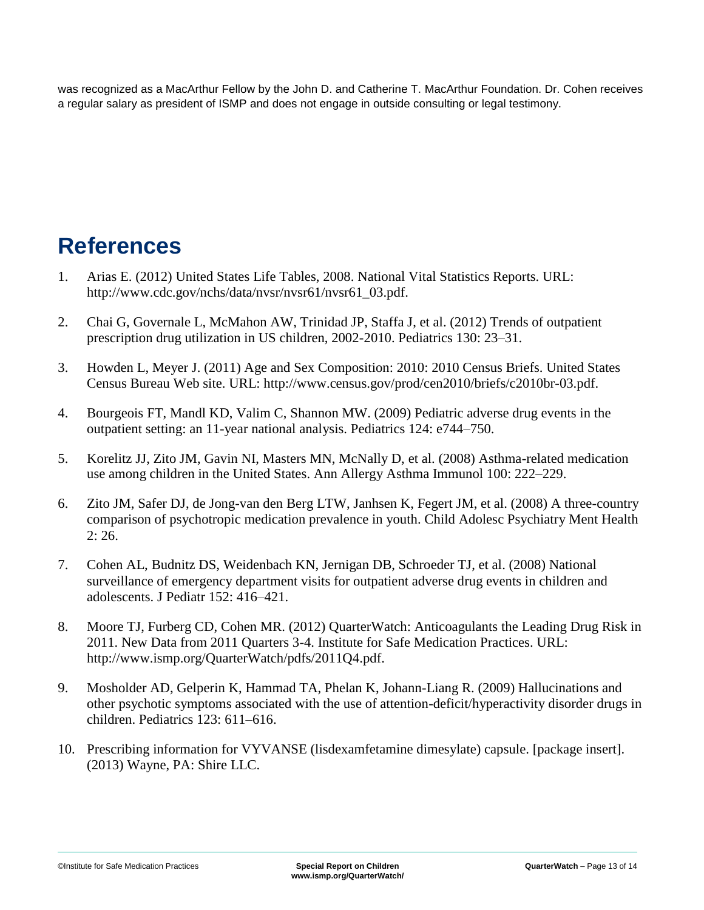was recognized as a MacArthur Fellow by the John D. and Catherine T. MacArthur Foundation. Dr. Cohen receives a regular salary as president of ISMP and does not engage in outside consulting or legal testimony.

# <span id="page-12-0"></span>**References**

- 1. Arias E. (2012) United States Life Tables, 2008. National Vital Statistics Reports. URL: http://www.cdc.gov/nchs/data/nvsr/nvsr61/nvsr61\_03.pdf.
- 2. Chai G, Governale L, McMahon AW, Trinidad JP, Staffa J, et al. (2012) Trends of outpatient prescription drug utilization in US children, 2002-2010. Pediatrics 130: 23–31.
- 3. Howden L, Meyer J. (2011) Age and Sex Composition: 2010: 2010 Census Briefs. United States Census Bureau Web site. URL: http://www.census.gov/prod/cen2010/briefs/c2010br-03.pdf.
- 4. Bourgeois FT, Mandl KD, Valim C, Shannon MW. (2009) Pediatric adverse drug events in the outpatient setting: an 11-year national analysis. Pediatrics 124: e744–750.
- 5. Korelitz JJ, Zito JM, Gavin NI, Masters MN, McNally D, et al. (2008) Asthma-related medication use among children in the United States. Ann Allergy Asthma Immunol 100: 222–229.
- 6. Zito JM, Safer DJ, de Jong-van den Berg LTW, Janhsen K, Fegert JM, et al. (2008) A three-country comparison of psychotropic medication prevalence in youth. Child Adolesc Psychiatry Ment Health 2: 26.
- 7. Cohen AL, Budnitz DS, Weidenbach KN, Jernigan DB, Schroeder TJ, et al. (2008) National surveillance of emergency department visits for outpatient adverse drug events in children and adolescents. J Pediatr 152: 416–421.
- 8. Moore TJ, Furberg CD, Cohen MR. (2012) QuarterWatch: Anticoagulants the Leading Drug Risk in 2011. New Data from 2011 Quarters 3-4. Institute for Safe Medication Practices. URL: http://www.ismp.org/QuarterWatch/pdfs/2011Q4.pdf.
- 9. Mosholder AD, Gelperin K, Hammad TA, Phelan K, Johann-Liang R. (2009) Hallucinations and other psychotic symptoms associated with the use of attention-deficit/hyperactivity disorder drugs in children. Pediatrics 123: 611–616.
- 10. Prescribing information for VYVANSE (lisdexamfetamine dimesylate) capsule. [package insert]. (2013) Wayne, PA: Shire LLC.